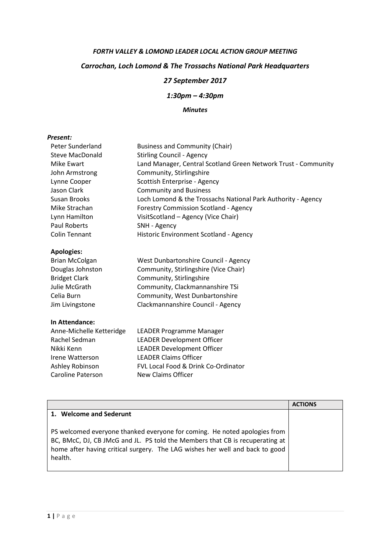## FORTH VALLEY & LOMOND LEADER LOCAL ACTION GROUP MEETING Carrochan, Loch Lomond & The Trossachs National Park Headquarters 27 September 2017

1:30pm – 4:30pm

## Minutes

## Present:

| Peter Sunderland         | <b>Business and Community (Chair)</b>                          |
|--------------------------|----------------------------------------------------------------|
| Steve MacDonald          | <b>Stirling Council - Agency</b>                               |
| Mike Ewart               | Land Manager, Central Scotland Green Network Trust - Community |
| John Armstrong           | Community, Stirlingshire                                       |
| Lynne Cooper             | Scottish Enterprise - Agency                                   |
| Jason Clark              | <b>Community and Business</b>                                  |
| Susan Brooks             | Loch Lomond & the Trossachs National Park Authority - Agency   |
| Mike Strachan            | <b>Forestry Commission Scotland - Agency</b>                   |
| Lynn Hamilton            | VisitScotland - Agency (Vice Chair)                            |
| Paul Roberts             | SNH - Agency                                                   |
| <b>Colin Tennant</b>     | Historic Environment Scotland - Agency                         |
| <b>Apologies:</b>        |                                                                |
| <b>Brian McColgan</b>    | West Dunbartonshire Council - Agency                           |
| Douglas Johnston         | Community, Stirlingshire (Vice Chair)                          |
| <b>Bridget Clark</b>     | Community, Stirlingshire                                       |
| Julie McGrath            | Community, Clackmannanshire TSi                                |
| Celia Burn               | Community, West Dunbartonshire                                 |
| Jim Livingstone          | Clackmannanshire Council - Agency                              |
| In Attendance:           |                                                                |
| Anne-Michelle Ketteridge | LEADER Programme Manager                                       |
| Rachel Sedman            | <b>LEADER Development Officer</b>                              |
| Nikki Kenn               | <b>LEADER Development Officer</b>                              |
| Irene Watterson          | <b>LEADER Claims Officer</b>                                   |

| Rachel Sedman            | <b>LEADER Development Officer</b>   |
|--------------------------|-------------------------------------|
| Nikki Kenn               | <b>LEADER Development Officer</b>   |
| Irene Watterson          | <b>LEADER Claims Officer</b>        |
| Ashley Robinson          | FVL Local Food & Drink Co-Ordinator |
| <b>Caroline Paterson</b> | New Claims Officer                  |
|                          |                                     |

|                                                                                                                                                                                                                                                      | <b>ACTIONS</b> |
|------------------------------------------------------------------------------------------------------------------------------------------------------------------------------------------------------------------------------------------------------|----------------|
| 1. Welcome and Sederunt                                                                                                                                                                                                                              |                |
| PS welcomed everyone thanked everyone for coming. He noted apologies from<br>BC, BMcC, DJ, CB JMcG and JL. PS told the Members that CB is recuperating at<br>home after having critical surgery. The LAG wishes her well and back to good<br>health. |                |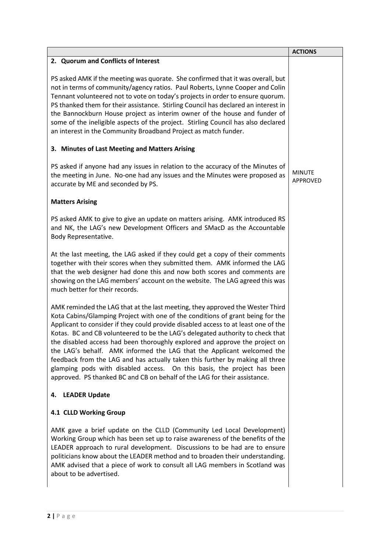|                                                                                                                                                                                                                                                                                                                                                                                                                                                                                                                                                                                                                                                                                                                                           | <b>ACTIONS</b>            |
|-------------------------------------------------------------------------------------------------------------------------------------------------------------------------------------------------------------------------------------------------------------------------------------------------------------------------------------------------------------------------------------------------------------------------------------------------------------------------------------------------------------------------------------------------------------------------------------------------------------------------------------------------------------------------------------------------------------------------------------------|---------------------------|
| 2. Quorum and Conflicts of Interest                                                                                                                                                                                                                                                                                                                                                                                                                                                                                                                                                                                                                                                                                                       |                           |
| PS asked AMK if the meeting was quorate. She confirmed that it was overall, but<br>not in terms of community/agency ratios. Paul Roberts, Lynne Cooper and Colin<br>Tennant volunteered not to vote on today's projects in order to ensure quorum.<br>PS thanked them for their assistance. Stirling Council has declared an interest in<br>the Bannockburn House project as interim owner of the house and funder of<br>some of the ineligible aspects of the project. Stirling Council has also declared<br>an interest in the Community Broadband Project as match funder.                                                                                                                                                             |                           |
| 3. Minutes of Last Meeting and Matters Arising                                                                                                                                                                                                                                                                                                                                                                                                                                                                                                                                                                                                                                                                                            |                           |
| PS asked if anyone had any issues in relation to the accuracy of the Minutes of<br>the meeting in June. No-one had any issues and the Minutes were proposed as<br>accurate by ME and seconded by PS.                                                                                                                                                                                                                                                                                                                                                                                                                                                                                                                                      | <b>MINUTE</b><br>APPROVED |
| <b>Matters Arising</b>                                                                                                                                                                                                                                                                                                                                                                                                                                                                                                                                                                                                                                                                                                                    |                           |
| PS asked AMK to give to give an update on matters arising. AMK introduced RS<br>and NK, the LAG's new Development Officers and SMacD as the Accountable<br>Body Representative.                                                                                                                                                                                                                                                                                                                                                                                                                                                                                                                                                           |                           |
| At the last meeting, the LAG asked if they could get a copy of their comments<br>together with their scores when they submitted them. AMK informed the LAG<br>that the web designer had done this and now both scores and comments are<br>showing on the LAG members' account on the website. The LAG agreed this was<br>much better for their records.                                                                                                                                                                                                                                                                                                                                                                                   |                           |
| AMK reminded the LAG that at the last meeting, they approved the Wester Third<br>Kota Cabins/Glamping Project with one of the conditions of grant being for the<br>Applicant to consider if they could provide disabled access to at least one of the<br>Kotas. BC and CB volunteered to be the LAG's delegated authority to check that<br>the disabled access had been thoroughly explored and approve the project on<br>the LAG's behalf. AMK informed the LAG that the Applicant welcomed the<br>feedback from the LAG and has actually taken this further by making all three<br>glamping pods with disabled access. On this basis, the project has been<br>approved. PS thanked BC and CB on behalf of the LAG for their assistance. |                           |
| <b>LEADER Update</b><br>4.                                                                                                                                                                                                                                                                                                                                                                                                                                                                                                                                                                                                                                                                                                                |                           |
| 4.1 CLLD Working Group                                                                                                                                                                                                                                                                                                                                                                                                                                                                                                                                                                                                                                                                                                                    |                           |
| AMK gave a brief update on the CLLD (Community Led Local Development)<br>Working Group which has been set up to raise awareness of the benefits of the<br>LEADER approach to rural development. Discussions to be had are to ensure<br>politicians know about the LEADER method and to broaden their understanding.<br>AMK advised that a piece of work to consult all LAG members in Scotland was<br>about to be advertised.                                                                                                                                                                                                                                                                                                             |                           |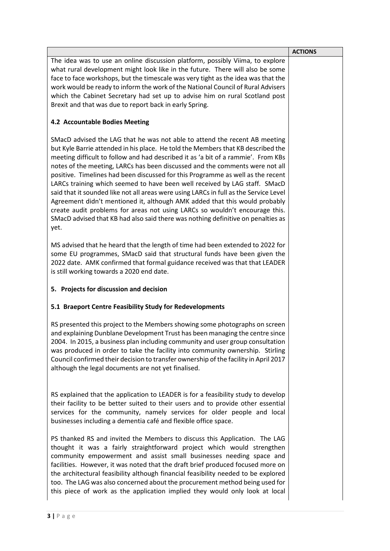|                                                                                                                                                                                                                                                                                                                                                                                                                                                                                                                                                                                                                                                                                                                                                                                                                                                        | <b>ACTIONS</b> |
|--------------------------------------------------------------------------------------------------------------------------------------------------------------------------------------------------------------------------------------------------------------------------------------------------------------------------------------------------------------------------------------------------------------------------------------------------------------------------------------------------------------------------------------------------------------------------------------------------------------------------------------------------------------------------------------------------------------------------------------------------------------------------------------------------------------------------------------------------------|----------------|
| The idea was to use an online discussion platform, possibly Viima, to explore<br>what rural development might look like in the future. There will also be some<br>face to face workshops, but the timescale was very tight as the idea was that the<br>work would be ready to inform the work of the National Council of Rural Advisers<br>which the Cabinet Secretary had set up to advise him on rural Scotland post<br>Brexit and that was due to report back in early Spring.                                                                                                                                                                                                                                                                                                                                                                      |                |
| 4.2 Accountable Bodies Meeting                                                                                                                                                                                                                                                                                                                                                                                                                                                                                                                                                                                                                                                                                                                                                                                                                         |                |
| SMacD advised the LAG that he was not able to attend the recent AB meeting<br>but Kyle Barrie attended in his place. He told the Members that KB described the<br>meeting difficult to follow and had described it as 'a bit of a rammie'. From KBs<br>notes of the meeting, LARCs has been discussed and the comments were not all<br>positive. Timelines had been discussed for this Programme as well as the recent<br>LARCs training which seemed to have been well received by LAG staff. SMacD<br>said that it sounded like not all areas were using LARCs in full as the Service Level<br>Agreement didn't mentioned it, although AMK added that this would probably<br>create audit problems for areas not using LARCs so wouldn't encourage this.<br>SMacD advised that KB had also said there was nothing definitive on penalties as<br>yet. |                |
| MS advised that he heard that the length of time had been extended to 2022 for<br>some EU programmes, SMacD said that structural funds have been given the<br>2022 date. AMK confirmed that formal guidance received was that that LEADER<br>is still working towards a 2020 end date.                                                                                                                                                                                                                                                                                                                                                                                                                                                                                                                                                                 |                |
| 5. Projects for discussion and decision                                                                                                                                                                                                                                                                                                                                                                                                                                                                                                                                                                                                                                                                                                                                                                                                                |                |
| 5.1 Braeport Centre Feasibility Study for Redevelopments                                                                                                                                                                                                                                                                                                                                                                                                                                                                                                                                                                                                                                                                                                                                                                                               |                |
| RS presented this project to the Members showing some photographs on screen<br>and explaining Dunblane Development Trust has been managing the centre since<br>2004. In 2015, a business plan including community and user group consultation<br>was produced in order to take the facility into community ownership. Stirling<br>Council confirmed their decision to transfer ownership of the facility in April 2017<br>although the legal documents are not yet finalised.                                                                                                                                                                                                                                                                                                                                                                          |                |
| RS explained that the application to LEADER is for a feasibility study to develop<br>their facility to be better suited to their users and to provide other essential<br>services for the community, namely services for older people and local<br>businesses including a dementia café and flexible office space.                                                                                                                                                                                                                                                                                                                                                                                                                                                                                                                                     |                |
| PS thanked RS and invited the Members to discuss this Application. The LAG<br>thought it was a fairly straightforward project which would strengthen<br>community empowerment and assist small businesses needing space and<br>facilities. However, it was noted that the draft brief produced focused more on<br>the architectural feasibility although financial feasibility needed to be explored<br>too. The LAG was also concerned about the procurement method being used for<br>this piece of work as the application implied they would only look at local                                                                                                                                                                                                                                                                                     |                |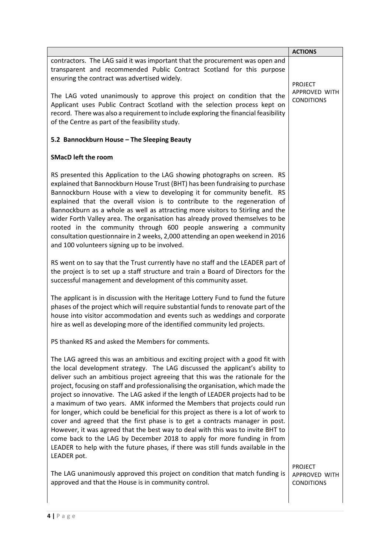|                                                                                                                                                                                                                                                                                                                                                                                                                                                                                                                                                                                                                                                                                                                                                                                                                                                                                                                                              | <b>ACTIONS</b>                                       |
|----------------------------------------------------------------------------------------------------------------------------------------------------------------------------------------------------------------------------------------------------------------------------------------------------------------------------------------------------------------------------------------------------------------------------------------------------------------------------------------------------------------------------------------------------------------------------------------------------------------------------------------------------------------------------------------------------------------------------------------------------------------------------------------------------------------------------------------------------------------------------------------------------------------------------------------------|------------------------------------------------------|
| contractors. The LAG said it was important that the procurement was open and<br>transparent and recommended Public Contract Scotland for this purpose<br>ensuring the contract was advertised widely.                                                                                                                                                                                                                                                                                                                                                                                                                                                                                                                                                                                                                                                                                                                                        | <b>PROJECT</b>                                       |
| The LAG voted unanimously to approve this project on condition that the<br>Applicant uses Public Contract Scotland with the selection process kept on<br>record. There was also a requirement to include exploring the financial feasibility<br>of the Centre as part of the feasibility study.                                                                                                                                                                                                                                                                                                                                                                                                                                                                                                                                                                                                                                              | APPROVED WITH<br><b>CONDITIONS</b>                   |
| 5.2 Bannockburn House - The Sleeping Beauty                                                                                                                                                                                                                                                                                                                                                                                                                                                                                                                                                                                                                                                                                                                                                                                                                                                                                                  |                                                      |
| <b>SMacD left the room</b>                                                                                                                                                                                                                                                                                                                                                                                                                                                                                                                                                                                                                                                                                                                                                                                                                                                                                                                   |                                                      |
| RS presented this Application to the LAG showing photographs on screen. RS<br>explained that Bannockburn House Trust (BHT) has been fundraising to purchase<br>Bannockburn House with a view to developing it for community benefit. RS<br>explained that the overall vision is to contribute to the regeneration of<br>Bannockburn as a whole as well as attracting more visitors to Stirling and the<br>wider Forth Valley area. The organisation has already proved themselves to be<br>rooted in the community through 600 people answering a community<br>consultation questionnaire in 2 weeks, 2,000 attending an open weekend in 2016<br>and 100 volunteers signing up to be involved.                                                                                                                                                                                                                                               |                                                      |
| RS went on to say that the Trust currently have no staff and the LEADER part of<br>the project is to set up a staff structure and train a Board of Directors for the<br>successful management and development of this community asset.                                                                                                                                                                                                                                                                                                                                                                                                                                                                                                                                                                                                                                                                                                       |                                                      |
| The applicant is in discussion with the Heritage Lottery Fund to fund the future<br>phases of the project which will require substantial funds to renovate part of the<br>house into visitor accommodation and events such as weddings and corporate<br>hire as well as developing more of the identified community led projects.                                                                                                                                                                                                                                                                                                                                                                                                                                                                                                                                                                                                            |                                                      |
| PS thanked RS and asked the Members for comments.                                                                                                                                                                                                                                                                                                                                                                                                                                                                                                                                                                                                                                                                                                                                                                                                                                                                                            |                                                      |
| The LAG agreed this was an ambitious and exciting project with a good fit with<br>the local development strategy. The LAG discussed the applicant's ability to<br>deliver such an ambitious project agreeing that this was the rationale for the<br>project, focusing on staff and professionalising the organisation, which made the<br>project so innovative. The LAG asked if the length of LEADER projects had to be<br>a maximum of two years. AMK informed the Members that projects could run<br>for longer, which could be beneficial for this project as there is a lot of work to<br>cover and agreed that the first phase is to get a contracts manager in post.<br>However, it was agreed that the best way to deal with this was to invite BHT to<br>come back to the LAG by December 2018 to apply for more funding in from<br>LEADER to help with the future phases, if there was still funds available in the<br>LEADER pot. |                                                      |
| The LAG unanimously approved this project on condition that match funding is<br>approved and that the House is in community control.                                                                                                                                                                                                                                                                                                                                                                                                                                                                                                                                                                                                                                                                                                                                                                                                         | <b>PROJECT</b><br>APPROVED WITH<br><b>CONDITIONS</b> |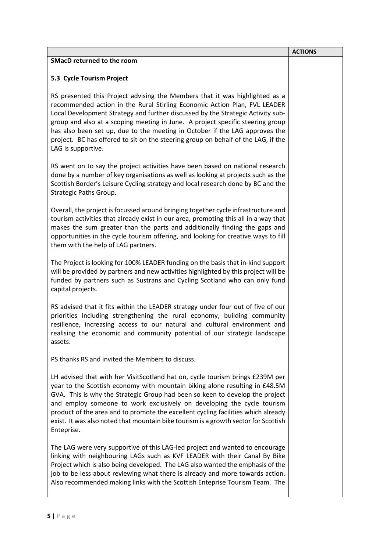|                                                                                                                                                                                                                                                                                                                                                                                                                                                                                                                         | <b>ACTIONS</b> |
|-------------------------------------------------------------------------------------------------------------------------------------------------------------------------------------------------------------------------------------------------------------------------------------------------------------------------------------------------------------------------------------------------------------------------------------------------------------------------------------------------------------------------|----------------|
| <b>SMacD returned to the room</b>                                                                                                                                                                                                                                                                                                                                                                                                                                                                                       |                |
| 5.3 Cycle Tourism Project                                                                                                                                                                                                                                                                                                                                                                                                                                                                                               |                |
| RS presented this Project advising the Members that it was highlighted as a<br>recommended action in the Rural Stirling Economic Action Plan, FVL LEADER<br>Local Development Strategy and further discussed by the Strategic Activity sub-<br>group and also at a scoping meeting in June. A project specific steering group<br>has also been set up, due to the meeting in October if the LAG approves the<br>project. BC has offered to sit on the steering group on behalf of the LAG, if the<br>LAG is supportive. |                |
| RS went on to say the project activities have been based on national research<br>done by a number of key organisations as well as looking at projects such as the<br>Scottish Border's Leisure Cycling strategy and local research done by BC and the<br>Strategic Paths Group.                                                                                                                                                                                                                                         |                |
| Overall, the project is focussed around bringing together cycle infrastructure and<br>tourism activities that already exist in our area, promoting this all in a way that<br>makes the sum greater than the parts and additionally finding the gaps and<br>opportunities in the cycle tourism offering, and looking for creative ways to fill<br>them with the help of LAG partners.                                                                                                                                    |                |
| The Project is looking for 100% LEADER funding on the basis that in-kind support<br>will be provided by partners and new activities highlighted by this project will be<br>funded by partners such as Sustrans and Cycling Scotland who can only fund<br>capital projects.                                                                                                                                                                                                                                              |                |
| RS advised that it fits within the LEADER strategy under four out of five of our<br>priorities including strengthening the rural economy, building community<br>resilience, increasing access to our natural and cultural environment and<br>realising the economic and community potential of our strategic landscape<br>assets.                                                                                                                                                                                       |                |
| PS thanks RS and invited the Members to discuss.                                                                                                                                                                                                                                                                                                                                                                                                                                                                        |                |
| LH advised that with her VisitScotland hat on, cycle tourism brings £239M per<br>year to the Scottish economy with mountain biking alone resulting in £48.5M<br>GVA. This is why the Strategic Group had been so keen to develop the project<br>and employ someone to work exclusively on developing the cycle tourism<br>product of the area and to promote the excellent cycling facilities which already<br>exist. It was also noted that mountain bike tourism is a growth sector for Scottish<br>Enteprise.        |                |
| The LAG were very supportive of this LAG-led project and wanted to encourage<br>linking with neighbouring LAGs such as KVF LEADER with their Canal By Bike<br>Project which is also being developed. The LAG also wanted the emphasis of the<br>job to be less about reviewing what there is already and more towards action.<br>Also recommended making links with the Scottish Enteprise Tourism Team. The                                                                                                            |                |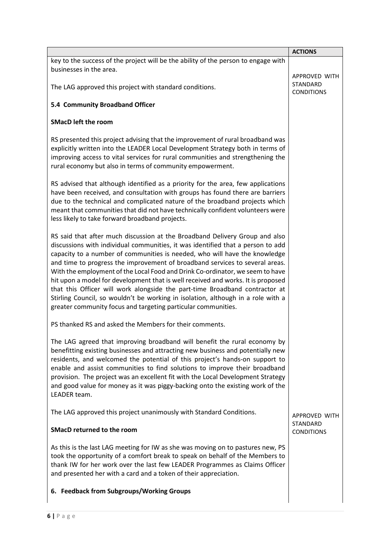|                                                                                                                                                                                                                                                                                                                                                                                                                                                                                                                                                                                                                                                                                                                                       | <b>ACTIONS</b>                |
|---------------------------------------------------------------------------------------------------------------------------------------------------------------------------------------------------------------------------------------------------------------------------------------------------------------------------------------------------------------------------------------------------------------------------------------------------------------------------------------------------------------------------------------------------------------------------------------------------------------------------------------------------------------------------------------------------------------------------------------|-------------------------------|
| key to the success of the project will be the ability of the person to engage with<br>businesses in the area.                                                                                                                                                                                                                                                                                                                                                                                                                                                                                                                                                                                                                         | APPROVED WITH                 |
| The LAG approved this project with standard conditions.                                                                                                                                                                                                                                                                                                                                                                                                                                                                                                                                                                                                                                                                               | STANDARD<br><b>CONDITIONS</b> |
| 5.4 Community Broadband Officer                                                                                                                                                                                                                                                                                                                                                                                                                                                                                                                                                                                                                                                                                                       |                               |
| <b>SMacD left the room</b>                                                                                                                                                                                                                                                                                                                                                                                                                                                                                                                                                                                                                                                                                                            |                               |
| RS presented this project advising that the improvement of rural broadband was<br>explicitly written into the LEADER Local Development Strategy both in terms of<br>improving access to vital services for rural communities and strengthening the<br>rural economy but also in terms of community empowerment.                                                                                                                                                                                                                                                                                                                                                                                                                       |                               |
| RS advised that although identified as a priority for the area, few applications<br>have been received, and consultation with groups has found there are barriers<br>due to the technical and complicated nature of the broadband projects which<br>meant that communities that did not have technically confident volunteers were<br>less likely to take forward broadband projects.                                                                                                                                                                                                                                                                                                                                                 |                               |
| RS said that after much discussion at the Broadband Delivery Group and also<br>discussions with individual communities, it was identified that a person to add<br>capacity to a number of communities is needed, who will have the knowledge<br>and time to progress the improvement of broadband services to several areas.<br>With the employment of the Local Food and Drink Co-ordinator, we seem to have<br>hit upon a model for development that is well received and works. It is proposed<br>that this Officer will work alongside the part-time Broadband contractor at<br>Stirling Council, so wouldn't be working in isolation, although in a role with a<br>greater community focus and targeting particular communities. |                               |
| PS thanked RS and asked the Members for their comments.                                                                                                                                                                                                                                                                                                                                                                                                                                                                                                                                                                                                                                                                               |                               |
| The LAG agreed that improving broadband will benefit the rural economy by<br>benefitting existing businesses and attracting new business and potentially new<br>residents, and welcomed the potential of this project's hands-on support to<br>enable and assist communities to find solutions to improve their broadband<br>provision. The project was an excellent fit with the Local Development Strategy<br>and good value for money as it was piggy-backing onto the existing work of the<br>LEADER team.                                                                                                                                                                                                                        |                               |
| The LAG approved this project unanimously with Standard Conditions.                                                                                                                                                                                                                                                                                                                                                                                                                                                                                                                                                                                                                                                                   | APPROVED WITH                 |
| <b>SMacD returned to the room</b>                                                                                                                                                                                                                                                                                                                                                                                                                                                                                                                                                                                                                                                                                                     | STANDARD<br><b>CONDITIONS</b> |
| As this is the last LAG meeting for IW as she was moving on to pastures new, PS<br>took the opportunity of a comfort break to speak on behalf of the Members to<br>thank IW for her work over the last few LEADER Programmes as Claims Officer<br>and presented her with a card and a token of their appreciation.                                                                                                                                                                                                                                                                                                                                                                                                                    |                               |
| 6. Feedback from Subgroups/Working Groups                                                                                                                                                                                                                                                                                                                                                                                                                                                                                                                                                                                                                                                                                             |                               |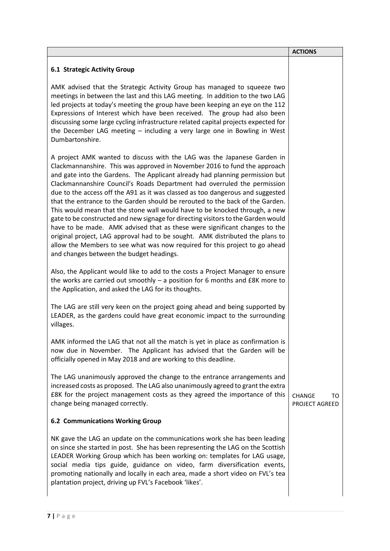|                                                                                                                                                                                                                                                                                                                                                                                                                                                                                                                                                                                                                                                                                                                                                                                                                                                                                                                                                   | <b>ACTIONS</b>                        |
|---------------------------------------------------------------------------------------------------------------------------------------------------------------------------------------------------------------------------------------------------------------------------------------------------------------------------------------------------------------------------------------------------------------------------------------------------------------------------------------------------------------------------------------------------------------------------------------------------------------------------------------------------------------------------------------------------------------------------------------------------------------------------------------------------------------------------------------------------------------------------------------------------------------------------------------------------|---------------------------------------|
| <b>6.1 Strategic Activity Group</b>                                                                                                                                                                                                                                                                                                                                                                                                                                                                                                                                                                                                                                                                                                                                                                                                                                                                                                               |                                       |
| AMK advised that the Strategic Activity Group has managed to squeeze two<br>meetings in between the last and this LAG meeting. In addition to the two LAG<br>led projects at today's meeting the group have been keeping an eye on the 112<br>Expressions of Interest which have been received. The group had also been<br>discussing some large cycling infrastructure related capital projects expected for<br>the December LAG meeting - including a very large one in Bowling in West<br>Dumbartonshire.                                                                                                                                                                                                                                                                                                                                                                                                                                      |                                       |
| A project AMK wanted to discuss with the LAG was the Japanese Garden in<br>Clackmannanshire. This was approved in November 2016 to fund the approach<br>and gate into the Gardens. The Applicant already had planning permission but<br>Clackmannanshire Council's Roads Department had overruled the permission<br>due to the access off the A91 as it was classed as too dangerous and suggested<br>that the entrance to the Garden should be rerouted to the back of the Garden.<br>This would mean that the stone wall would have to be knocked through, a new<br>gate to be constructed and new signage for directing visitors to the Garden would<br>have to be made. AMK advised that as these were significant changes to the<br>original project, LAG approval had to be sought. AMK distributed the plans to<br>allow the Members to see what was now required for this project to go ahead<br>and changes between the budget headings. |                                       |
| Also, the Applicant would like to add to the costs a Project Manager to ensure<br>the works are carried out smoothly $-$ a position for 6 months and £8K more to<br>the Application, and asked the LAG for its thoughts.                                                                                                                                                                                                                                                                                                                                                                                                                                                                                                                                                                                                                                                                                                                          |                                       |
| The LAG are still very keen on the project going ahead and being supported by<br>LEADER, as the gardens could have great economic impact to the surrounding<br>villages.                                                                                                                                                                                                                                                                                                                                                                                                                                                                                                                                                                                                                                                                                                                                                                          |                                       |
| AMK informed the LAG that not all the match is yet in place as confirmation is<br>now due in November. The Applicant has advised that the Garden will be<br>officially opened in May 2018 and are working to this deadline.                                                                                                                                                                                                                                                                                                                                                                                                                                                                                                                                                                                                                                                                                                                       |                                       |
| The LAG unanimously approved the change to the entrance arrangements and<br>increased costs as proposed. The LAG also unanimously agreed to grant the extra<br>£8K for the project management costs as they agreed the importance of this<br>change being managed correctly.                                                                                                                                                                                                                                                                                                                                                                                                                                                                                                                                                                                                                                                                      | <b>CHANGE</b><br>то<br>PROJECT AGREED |
| <b>6.2 Communications Working Group</b>                                                                                                                                                                                                                                                                                                                                                                                                                                                                                                                                                                                                                                                                                                                                                                                                                                                                                                           |                                       |
| NK gave the LAG an update on the communications work she has been leading<br>on since she started in post. She has been representing the LAG on the Scottish<br>LEADER Working Group which has been working on: templates for LAG usage,<br>social media tips guide, guidance on video, farm diversification events,<br>promoting nationally and locally in each area, made a short video on FVL's tea<br>plantation project, driving up FVL's Facebook 'likes'.                                                                                                                                                                                                                                                                                                                                                                                                                                                                                  |                                       |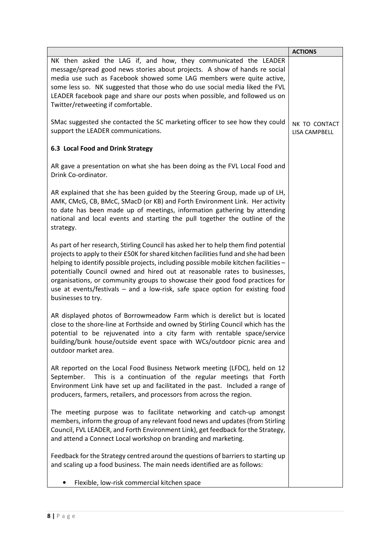|                                                                                                                                                                                                                                                                                                                                                                                                                                                                                                                                          | <b>ACTIONS</b>                 |
|------------------------------------------------------------------------------------------------------------------------------------------------------------------------------------------------------------------------------------------------------------------------------------------------------------------------------------------------------------------------------------------------------------------------------------------------------------------------------------------------------------------------------------------|--------------------------------|
| NK then asked the LAG if, and how, they communicated the LEADER<br>message/spread good news stories about projects. A show of hands re social<br>media use such as Facebook showed some LAG members were quite active,<br>some less so. NK suggested that those who do use social media liked the FVL<br>LEADER facebook page and share our posts when possible, and followed us on<br>Twitter/retweeting if comfortable.                                                                                                                |                                |
| SMac suggested she contacted the SC marketing officer to see how they could<br>support the LEADER communications.                                                                                                                                                                                                                                                                                                                                                                                                                        | NK TO CONTACT<br>LISA CAMPBELL |
| 6.3 Local Food and Drink Strategy                                                                                                                                                                                                                                                                                                                                                                                                                                                                                                        |                                |
| AR gave a presentation on what she has been doing as the FVL Local Food and<br>Drink Co-ordinator.                                                                                                                                                                                                                                                                                                                                                                                                                                       |                                |
| AR explained that she has been guided by the Steering Group, made up of LH,<br>AMK, CMcG, CB, BMcC, SMacD (or KB) and Forth Environment Link. Her activity<br>to date has been made up of meetings, information gathering by attending<br>national and local events and starting the pull together the outline of the<br>strategy.                                                                                                                                                                                                       |                                |
| As part of her research, Stirling Council has asked her to help them find potential<br>projects to apply to their £50K for shared kitchen facilities fund and she had been<br>helping to identify possible projects, including possible mobile kitchen facilities -<br>potentially Council owned and hired out at reasonable rates to businesses,<br>organisations, or community groups to showcase their good food practices for<br>use at events/festivals - and a low-risk, safe space option for existing food<br>businesses to try. |                                |
| AR displayed photos of Borrowmeadow Farm which is derelict but is located<br>close to the shore-line at Forthside and owned by Stirling Council which has the<br>potential to be rejuvenated into a city farm with rentable space/service<br>building/bunk house/outside event space with WCs/outdoor picnic area and<br>outdoor market area.                                                                                                                                                                                            |                                |
| AR reported on the Local Food Business Network meeting (LFDC), held on 12<br>This is a continuation of the regular meetings that Forth<br>September.<br>Environment Link have set up and facilitated in the past. Included a range of<br>producers, farmers, retailers, and processors from across the region.                                                                                                                                                                                                                           |                                |
| The meeting purpose was to facilitate networking and catch-up amongst<br>members, inform the group of any relevant food news and updates (from Stirling<br>Council, FVL LEADER, and Forth Environment Link), get feedback for the Strategy,<br>and attend a Connect Local workshop on branding and marketing.                                                                                                                                                                                                                            |                                |
| Feedback for the Strategy centred around the questions of barriers to starting up<br>and scaling up a food business. The main needs identified are as follows:                                                                                                                                                                                                                                                                                                                                                                           |                                |
| Flexible, low-risk commercial kitchen space                                                                                                                                                                                                                                                                                                                                                                                                                                                                                              |                                |